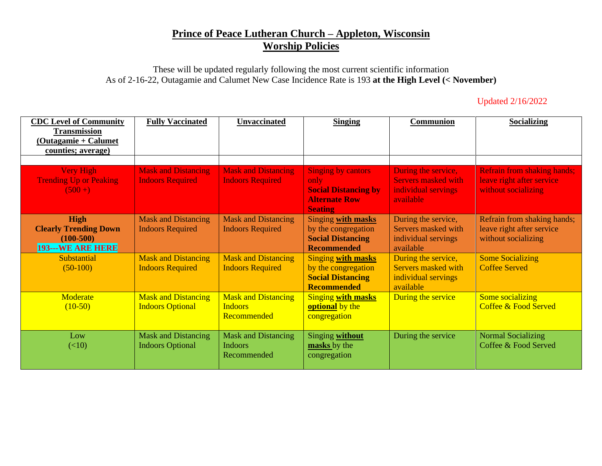## **Prince of Peace Lutheran Church – Appleton, Wisconsin Worship Policies**

These will be updated regularly following the most current scientific information As of 2-16-22, Outagamie and Calumet New Case Incidence Rate is 193 **at the High Level (< November)**

## Updated 2/16/2022

| <b>CDC Level of Community</b><br><b>Transmission</b><br>(Outagamie + Calumet<br>counties; average) | <b>Fully Vaccinated</b>                               | <b>Unvaccinated</b>                                         | <b>Singing</b>                                                                                             | <b>Communion</b>                                                                      | <b>Socializing</b>                                                                     |
|----------------------------------------------------------------------------------------------------|-------------------------------------------------------|-------------------------------------------------------------|------------------------------------------------------------------------------------------------------------|---------------------------------------------------------------------------------------|----------------------------------------------------------------------------------------|
| <b>Very High</b><br><b>Trending Up or Peaking</b><br>$(500+)$                                      | <b>Mask and Distancing</b><br><b>Indoors Required</b> | <b>Mask and Distancing</b><br><b>Indoors Required</b>       | <b>Singing by cantors</b><br>only<br><b>Social Distancing by</b><br><b>Alternate Row</b><br><b>Seating</b> | During the service,<br><b>Servers masked with</b><br>individual servings<br>available | <b>Refrain from shaking hands;</b><br>leave right after service<br>without socializing |
| <b>High</b><br><b>Clearly Trending Down</b><br>$(100-500)$<br><b>193---WE ARE HERE</b>             | <b>Mask and Distancing</b><br><b>Indoors Required</b> | <b>Mask and Distancing</b><br><b>Indoors Required</b>       | Singing with masks<br>by the congregation<br><b>Social Distancing</b><br><b>Recommended</b>                | During the service,<br>Servers masked with<br>individual servings<br>available        | Refrain from shaking hands;<br>leave right after service<br>without socializing        |
| <b>Substantial</b><br>$(50-100)$                                                                   | <b>Mask and Distancing</b><br><b>Indoors Required</b> | <b>Mask and Distancing</b><br><b>Indoors Required</b>       | <b>Singing with masks</b><br>by the congregation<br><b>Social Distancing</b><br><b>Recommended</b>         | During the service,<br>Servers masked with<br>individual servings<br>available        | <b>Some Socializing</b><br><b>Coffee Served</b>                                        |
| Moderate<br>$(10-50)$                                                                              | <b>Mask and Distancing</b><br><b>Indoors Optional</b> | <b>Mask and Distancing</b><br><b>Indoors</b><br>Recommended | <b>Singing with masks</b><br>optional by the<br>congregation                                               | During the service                                                                    | Some socializing<br>Coffee & Food Served                                               |
| Low<br>(<10)                                                                                       | <b>Mask and Distancing</b><br><b>Indoors Optional</b> | <b>Mask and Distancing</b><br><b>Indoors</b><br>Recommended | Singing without<br>masks by the<br>congregation                                                            | During the service                                                                    | <b>Normal Socializing</b><br>Coffee & Food Served                                      |